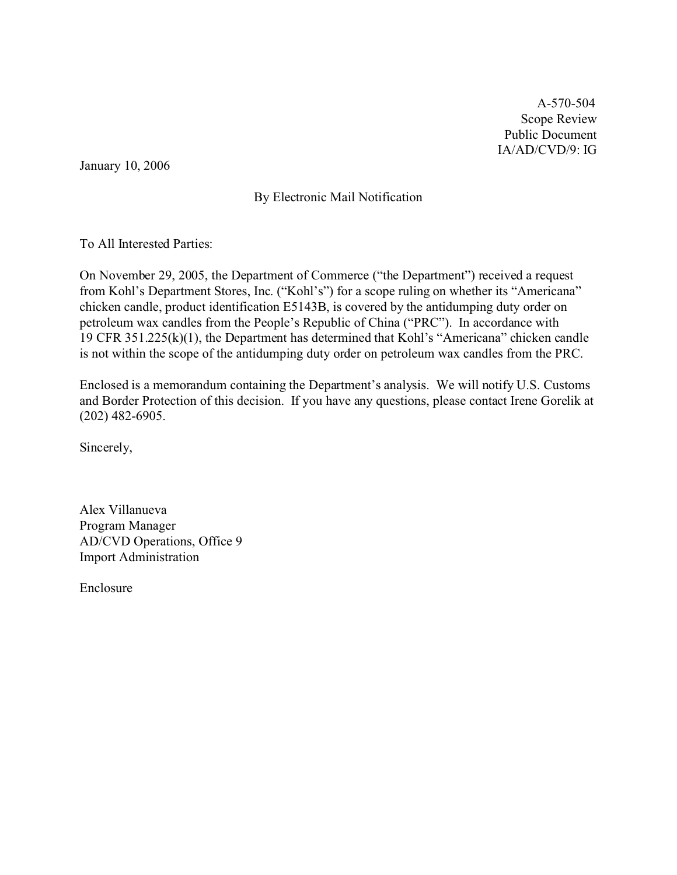A-570-504 Scope Review Public Document IA/AD/CVD/9: IG

January 10, 2006

## By Electronic Mail Notification

To All Interested Parties:

On November 29, 2005, the Department of Commerce ("the Department") received a request from Kohl's Department Stores, Inc. ("Kohl's") for a scope ruling on whether its "Americana" chicken candle, product identification E5143B, is covered by the antidumping duty order on petroleum wax candles from the People's Republic of China ("PRC"). In accordance with 19 CFR 351.225(k)(1), the Department has determined that Kohl's "Americana" chicken candle is not within the scope of the antidumping duty order on petroleum wax candles from the PRC.

Enclosed is a memorandum containing the Department's analysis. We will notify U.S. Customs and Border Protection of this decision. If you have any questions, please contact Irene Gorelik at (202) 482-6905.

Sincerely,

Alex Villanueva Program Manager AD/CVD Operations, Office 9 Import Administration

Enclosure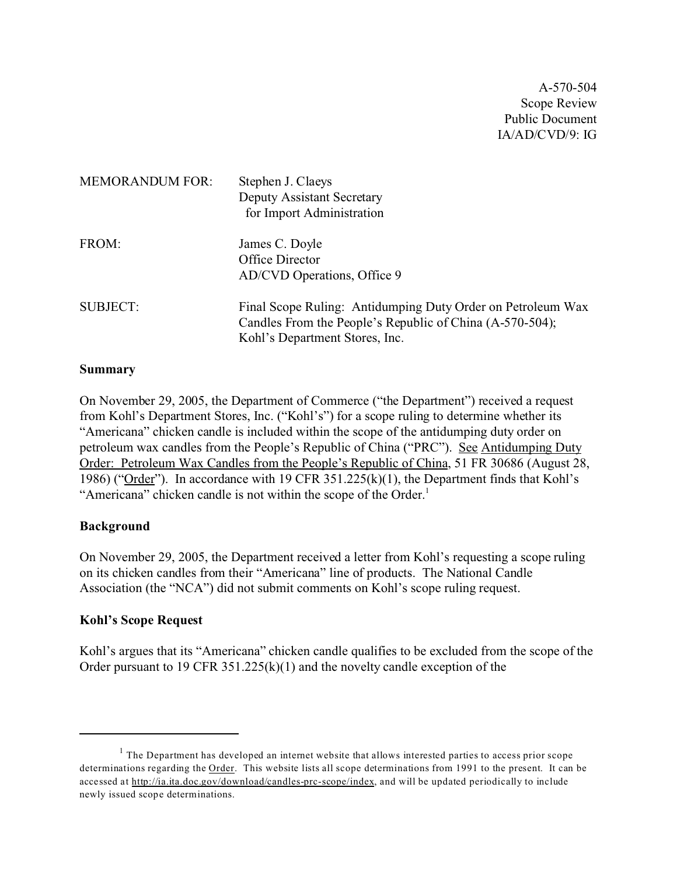A-570-504 Scope Review Public Document IA/AD/CVD/9: IG

| <b>MEMORANDUM FOR:</b> | Stephen J. Claeys<br>Deputy Assistant Secretary<br>for Import Administration                                                                              |
|------------------------|-----------------------------------------------------------------------------------------------------------------------------------------------------------|
| FROM:                  | James C. Doyle<br>Office Director<br>AD/CVD Operations, Office 9                                                                                          |
| <b>SUBJECT:</b>        | Final Scope Ruling: Antidumping Duty Order on Petroleum Wax<br>Candles From the People's Republic of China (A-570-504);<br>Kohl's Department Stores, Inc. |

#### **Summary**

On November 29, 2005, the Department of Commerce ("the Department") received a request from Kohl's Department Stores, Inc. ("Kohl's") for a scope ruling to determine whether its "Americana" chicken candle is included within the scope of the antidumping duty order on petroleum wax candles from the People's Republic of China ("PRC"). See Antidumping Duty Order: Petroleum Wax Candles from the People's Republic of China, 51 FR 30686 (August 28, 1986) ("Order"). In accordance with 19 CFR 351.225(k)(1), the Department finds that Kohl's "Americana" chicken candle is not within the scope of the Order.<sup>1</sup>

### **Background**

On November 29, 2005, the Department received a letter from Kohl's requesting a scope ruling on its chicken candles from their "Americana" line of products. The National Candle Association (the "NCA") did not submit comments on Kohl's scope ruling request.

### **Kohl's Scope Request**

Kohl's argues that its "Americana" chicken candle qualifies to be excluded from the scope of the Order pursuant to 19 CFR 351.225(k)(1) and the novelty candle exception of the

 $<sup>1</sup>$  The Department has developed an internet website that allows interested parties to access prior scope</sup> determinations regarding the Order. This website lists all scope determinations from 1991 to the present. It can be accessed at [http://ia.ita.doc.gov/download/candles-prc-scope/index,](http://ia.ita.doc.gov/download/candles-prc-scope/,) and will be updated periodically to include newly issued scope determinations.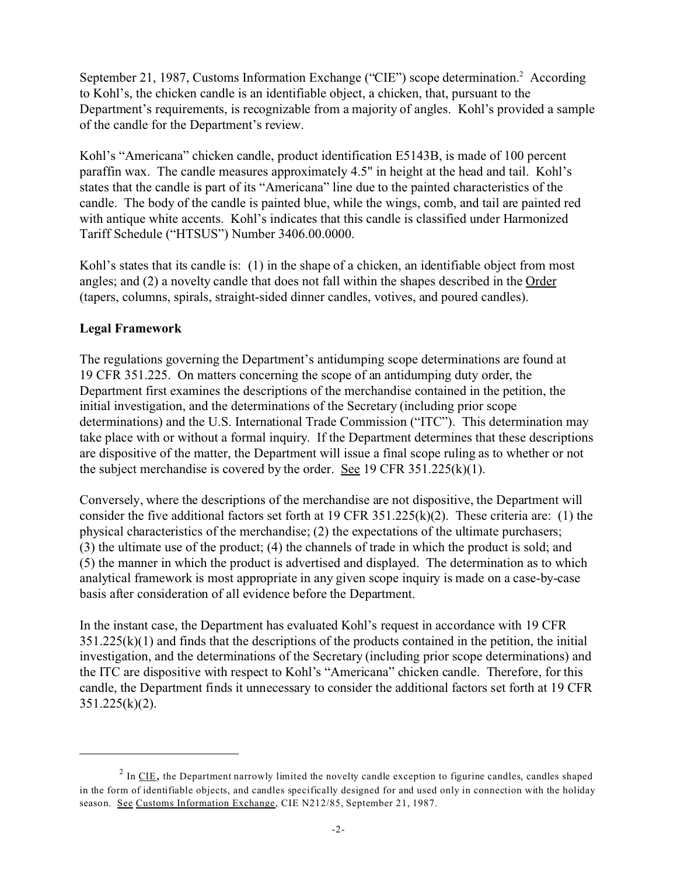September 21, 1987, Customs Information Exchange ("CIE") scope determination.<sup>2</sup> According to Kohl's, the chicken candle is an identifiable object, a chicken, that, pursuant to the Department's requirements, is recognizable from a majority of angles. Kohl's provided a sample of the candle for the Department's review.

Kohl's "Americana" chicken candle, product identification E5143B, is made of 100 percent paraffin wax. The candle measures approximately 4.5" in height at the head and tail. Kohl's states that the candle is part of its "Americana" line due to the painted characteristics of the candle. The body of the candle is painted blue, while the wings, comb, and tail are painted red with antique white accents. Kohl's indicates that this candle is classified under Harmonized Tariff Schedule ("HTSUS") Number 3406.00.0000.

Kohl's states that its candle is: (1) in the shape of a chicken, an identifiable object from most angles; and (2) a novelty candle that does not fall within the shapes described in the Order (tapers, columns, spirals, straight-sided dinner candles, votives, and poured candles).

# **Legal Framework**

The regulations governing the Department's antidumping scope determinations are found at 19 CFR 351.225. On matters concerning the scope of an antidumping duty order, the Department first examines the descriptions of the merchandise contained in the petition, the initial investigation, and the determinations of the Secretary (including prior scope determinations) and the U.S. International Trade Commission ("ITC"). This determination may take place with or without a formal inquiry. If the Department determines that these descriptions are dispositive of the matter, the Department will issue a final scope ruling as to whether or not the subject merchandise is covered by the order. See 19 CFR 351.225(k)(1).

Conversely, where the descriptions of the merchandise are not dispositive, the Department will consider the five additional factors set forth at 19 CFR 351.225(k)(2). These criteria are: (1) the physical characteristics of the merchandise; (2) the expectations of the ultimate purchasers; (3) the ultimate use of the product; (4) the channels of trade in which the product is sold; and (5) the manner in which the product is advertised and displayed. The determination as to which analytical framework is most appropriate in any given scope inquiry is made on a case-by-case basis after consideration of all evidence before the Department.

In the instant case, the Department has evaluated Kohl's request in accordance with 19 CFR  $351.225(k)(1)$  and finds that the descriptions of the products contained in the petition, the initial investigation, and the determinations of the Secretary (including prior scope determinations) and the ITC are dispositive with respect to Kohl's "Americana" chicken candle. Therefore, for this candle, the Department finds it unnecessary to consider the additional factors set forth at 19 CFR 351.225(k)(2).

 $^2$  In <u>CIE</u>, the Department narrowly limited the novelty candle exception to figurine candles, candles shaped in the form of identifiable objects, and candles specifically designed for and used only in connection with the holiday season. See Customs Information Exchange, CIE N212/85, September 21, 1987.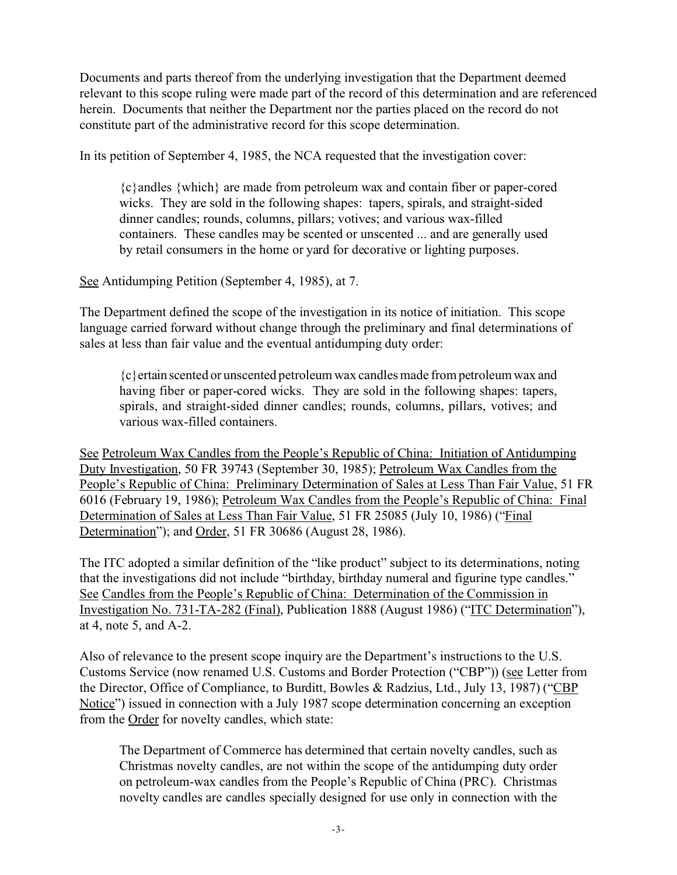Documents and parts thereof from the underlying investigation that the Department deemed relevant to this scope ruling were made part of the record of this determination and are referenced herein. Documents that neither the Department nor the parties placed on the record do not constitute part of the administrative record for this scope determination.

In its petition of September 4, 1985, the NCA requested that the investigation cover:

{c}andles {which} are made from petroleum wax and contain fiber or paper-cored wicks. They are sold in the following shapes: tapers, spirals, and straight-sided dinner candles; rounds, columns, pillars; votives; and various wax-filled containers. These candles may be scented or unscented ... and are generally used by retail consumers in the home or yard for decorative or lighting purposes.

See Antidumping Petition (September 4, 1985), at 7.

The Department defined the scope of the investigation in its notice of initiation. This scope language carried forward without change through the preliminary and final determinations of sales at less than fair value and the eventual antidumping duty order:

{c}ertain scented or unscented petroleum wax candles made from petroleum wax and having fiber or paper-cored wicks. They are sold in the following shapes: tapers, spirals, and straight-sided dinner candles; rounds, columns, pillars, votives; and various wax-filled containers.

See Petroleum Wax Candles from the People's Republic of China: Initiation of Antidumping Duty Investigation, 50 FR 39743 (September 30, 1985); Petroleum Wax Candles from the People's Republic of China: Preliminary Determination of Sales at Less Than Fair Value, 51 FR 6016 (February 19, 1986); Petroleum Wax Candles from the People's Republic of China: Final Determination of Sales at Less Than Fair Value, 51 FR 25085 (July 10, 1986) ("Final Determination"); and Order, 51 FR 30686 (August 28, 1986).

The ITC adopted a similar definition of the "like product" subject to its determinations, noting that the investigations did not include "birthday, birthday numeral and figurine type candles." See Candles from the People's Republic of China: Determination of the Commission in Investigation No. 731-TA-282 (Final), Publication 1888 (August 1986) ("ITC Determination"), at 4, note 5, and A-2.

Also of relevance to the present scope inquiry are the Department's instructions to the U.S. Customs Service (now renamed U.S. Customs and Border Protection ("CBP")) (see Letter from the Director, Office of Compliance, to Burditt, Bowles & Radzius, Ltd., July 13, 1987) ("CBP Notice") issued in connection with a July 1987 scope determination concerning an exception from the Order for novelty candles, which state:

The Department of Commerce has determined that certain novelty candles, such as Christmas novelty candles, are not within the scope of the antidumping duty order on petroleum-wax candles from the People's Republic of China (PRC). Christmas novelty candles are candles specially designed for use only in connection with the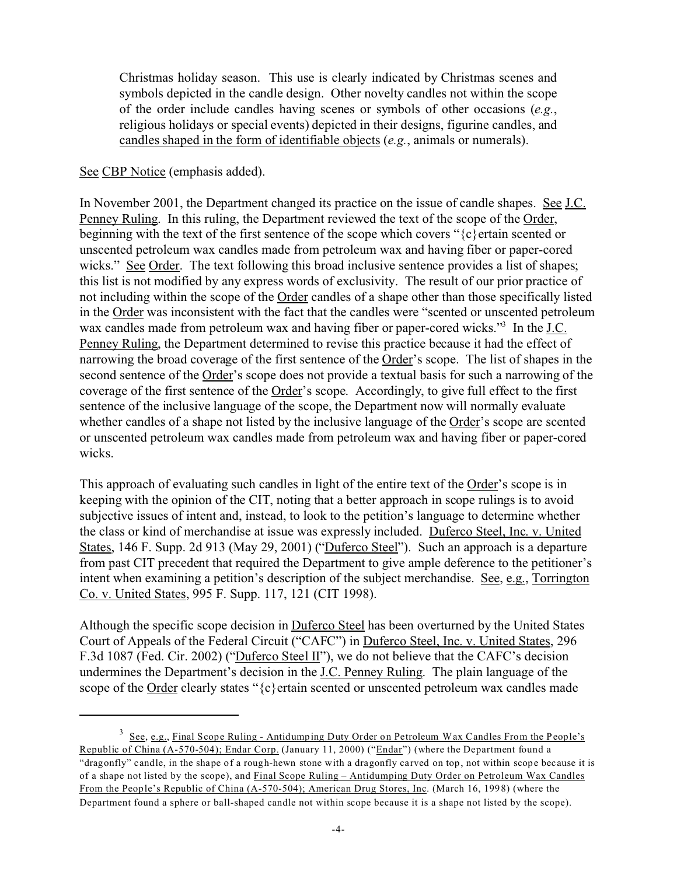Christmas holiday season. This use is clearly indicated by Christmas scenes and symbols depicted in the candle design. Other novelty candles not within the scope of the order include candles having scenes or symbols of other occasions (*e.g.*, religious holidays or special events) depicted in their designs, figurine candles, and candles shaped in the form of identifiable objects (*e.g.*, animals or numerals).

## See CBP Notice (emphasis added).

In November 2001, the Department changed its practice on the issue of candle shapes. See J.C. Penney Ruling. In this ruling, the Department reviewed the text of the scope of the Order, beginning with the text of the first sentence of the scope which covers "{c}ertain scented or unscented petroleum wax candles made from petroleum wax and having fiber or paper-cored wicks." See Order. The text following this broad inclusive sentence provides a list of shapes; this list is not modified by any express words of exclusivity. The result of our prior practice of not including within the scope of the Order candles of a shape other than those specifically listed in the Order was inconsistent with the fact that the candles were "scented or unscented petroleum wax candles made from petroleum wax and having fiber or paper-cored wicks."<sup>3</sup> In the J.C. Penney Ruling, the Department determined to revise this practice because it had the effect of narrowing the broad coverage of the first sentence of the Order's scope. The list of shapes in the second sentence of the Order's scope does not provide a textual basis for such a narrowing of the coverage of the first sentence of the Order's scope. Accordingly, to give full effect to the first sentence of the inclusive language of the scope, the Department now will normally evaluate whether candles of a shape not listed by the inclusive language of the Order's scope are scented or unscented petroleum wax candles made from petroleum wax and having fiber or paper-cored wicks.

This approach of evaluating such candles in light of the entire text of the Order's scope is in keeping with the opinion of the CIT, noting that a better approach in scope rulings is to avoid subjective issues of intent and, instead, to look to the petition's language to determine whether the class or kind of merchandise at issue was expressly included. Duferco Steel, Inc. v. United States, 146 F. Supp. 2d 913 (May 29, 2001) ("Duferco Steel"). Such an approach is a departure from past CIT precedent that required the Department to give ample deference to the petitioner's intent when examining a petition's description of the subject merchandise. See, e.g., Torrington Co. v. United States, 995 F. Supp. 117, 121 (CIT 1998).

Although the specific scope decision in **Duferco Steel** has been overturned by the United States Court of Appeals of the Federal Circuit ("CAFC") in Duferco Steel, Inc. v. United States, 296 F.3d 1087 (Fed. Cir. 2002) ("Duferco Steel II"), we do not believe that the CAFC's decision undermines the Department's decision in the J.C. Penney Ruling. The plain language of the scope of the Order clearly states " ${c}$ } ertain scented or unscented petroleum wax candles made

<sup>&</sup>lt;sup>3</sup> See, e.g., Final Scope Ruling - Antidumping Duty Order on Petroleum Wax Candles From the People's Republic of China (A-570-504); Endar Corp. (January 11, 2000) ("Endar") (where the Department found a "dragonfly" candle, in the shape of a rough-hewn stone with a dragonfly carved on top, not within scope because it is of a shape not listed by the scope), and Final Scope Ruling – Antidumping Duty Order on Petroleum Wax Candles From the People's Republic of China (A-570-504); American Drug Stores, Inc. (March 16, 1998) (where the Department found a sphere or ball-shaped candle not within scope because it is a shape not listed by the scope).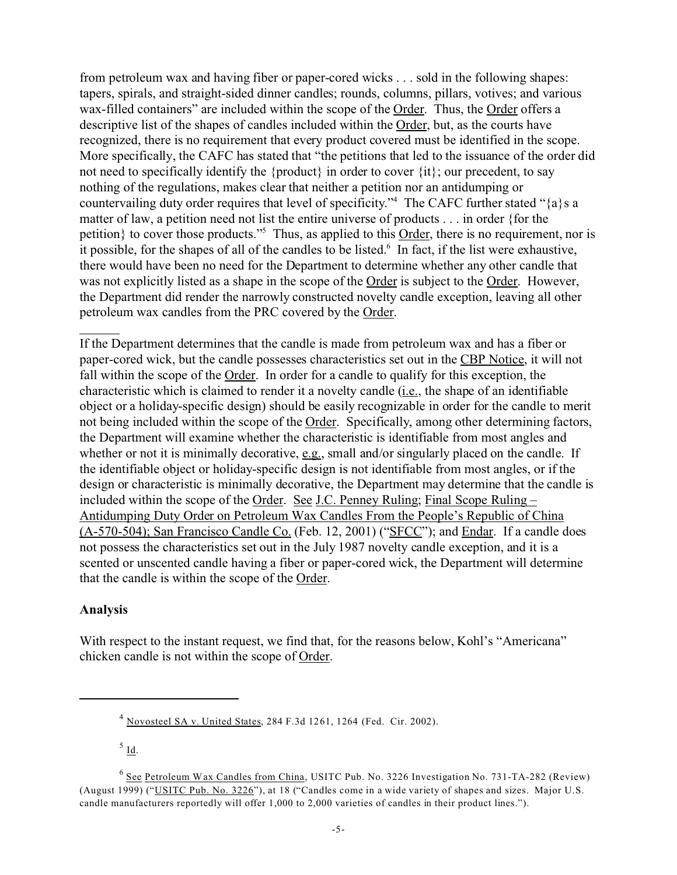from petroleum wax and having fiber or paper-cored wicks . . . sold in the following shapes: tapers, spirals, and straight-sided dinner candles; rounds, columns, pillars, votives; and various wax-filled containers" are included within the scope of the Order. Thus, the Order offers a descriptive list of the shapes of candles included within the Order, but, as the courts have recognized, there is no requirement that every product covered must be identified in the scope. More specifically, the CAFC has stated that "the petitions that led to the issuance of the order did not need to specifically identify the {product} in order to cover  $\{it\}$ ; our precedent, to say nothing of the regulations, makes clear that neither a petition nor an antidumping or countervailing duty order requires that level of specificity."<sup>4</sup> The CAFC further stated "{a}s a matter of law, a petition need not list the entire universe of products . . . in order {for the petition} to cover those products."<sup>5</sup> Thus, as applied to this Order, there is no requirement, nor is it possible, for the shapes of all of the candles to be listed.<sup>6</sup> In fact, if the list were exhaustive, there would have been no need for the Department to determine whether any other candle that was not explicitly listed as a shape in the scope of the Order is subject to the Order. However, the Department did render the narrowly constructed novelty candle exception, leaving all other petroleum wax candles from the PRC covered by the Order.

If the Department determines that the candle is made from petroleum wax and has a fiber or paper-cored wick, but the candle possesses characteristics set out in the CBP Notice, it will not fall within the scope of the Order. In order for a candle to qualify for this exception, the characteristic which is claimed to render it a novelty candle (i.e., the shape of an identifiable object or a holiday-specific design) should be easily recognizable in order for the candle to merit not being included within the scope of the Order. Specifically, among other determining factors, the Department will examine whether the characteristic is identifiable from most angles and whether or not it is minimally decorative,  $e.g.,$  small and/or singularly placed on the candle. If the identifiable object or holiday-specific design is not identifiable from most angles, or if the design or characteristic is minimally decorative, the Department may determine that the candle is included within the scope of the Order. See J.C. Penney Ruling; Final Scope Ruling – Antidumping Duty Order on Petroleum Wax Candles From the People's Republic of China (A-570-504); San Francisco Candle Co. (Feb. 12, 2001) ("SFCC"); and Endar. If a candle does not possess the characteristics set out in the July 1987 novelty candle exception, and it is a scented or unscented candle having a fiber or paper-cored wick, the Department will determine that the candle is within the scope of the Order.

### **Analysis**

With respect to the instant request, we find that, for the reasons below, Kohl's "Americana" chicken candle is not within the scope of Order.

 $^5$  <u>Id</u>.

<sup>4</sup> Novosteel SA v. United States, 284 F.3d 1261, 1264 (Fed. Cir. 2002).

<sup>&</sup>lt;sup>6</sup> See Petroleum Wax Candles from China, USITC Pub. No. 3226 Investigation No. 731-TA-282 (Review) (August 1999) ("USITC Pub. No. 3226"), at 18 ("Candles come in a wide variety of shapes and sizes. Major U.S. candle manufacturers reportedly will offer 1,000 to 2,000 varieties of candles in their product lines.").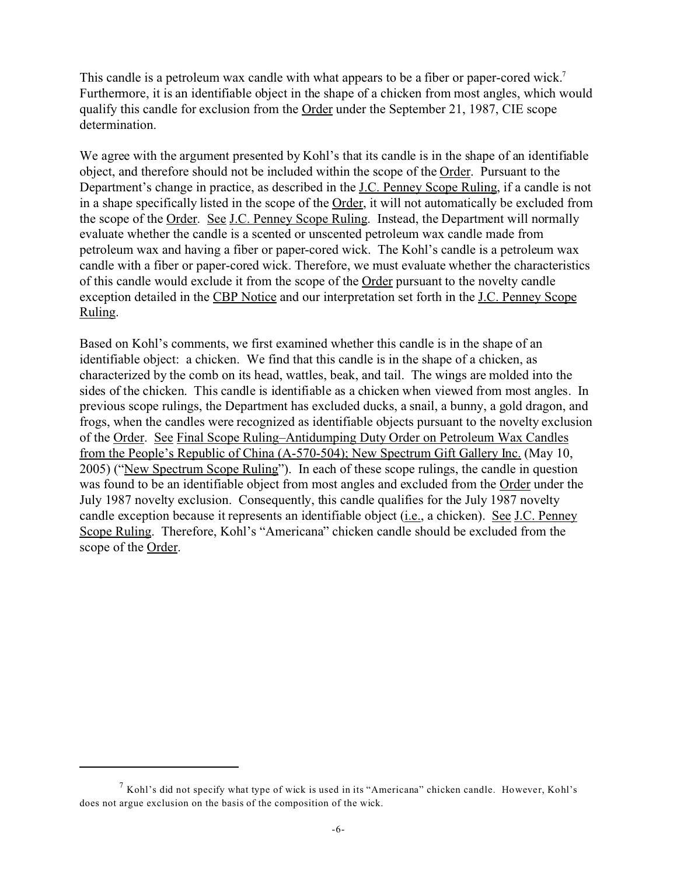This candle is a petroleum wax candle with what appears to be a fiber or paper-cored wick.<sup>7</sup> Furthermore, it is an identifiable object in the shape of a chicken from most angles, which would qualify this candle for exclusion from the Order under the September 21, 1987, CIE scope determination.

We agree with the argument presented by Kohl's that its candle is in the shape of an identifiable object, and therefore should not be included within the scope of the Order. Pursuant to the Department's change in practice, as described in the J.C. Penney Scope Ruling, if a candle is not in a shape specifically listed in the scope of the Order, it will not automatically be excluded from the scope of the Order. See J.C. Penney Scope Ruling. Instead, the Department will normally evaluate whether the candle is a scented or unscented petroleum wax candle made from petroleum wax and having a fiber or paper-cored wick. The Kohl's candle is a petroleum wax candle with a fiber or paper-cored wick. Therefore, we must evaluate whether the characteristics of this candle would exclude it from the scope of the Order pursuant to the novelty candle exception detailed in the CBP Notice and our interpretation set forth in the J.C. Penney Scope Ruling.

Based on Kohl's comments, we first examined whether this candle is in the shape of an identifiable object: a chicken. We find that this candle is in the shape of a chicken, as characterized by the comb on its head, wattles, beak, and tail. The wings are molded into the sides of the chicken. This candle is identifiable as a chicken when viewed from most angles. In previous scope rulings, the Department has excluded ducks, a snail, a bunny, a gold dragon, and frogs, when the candles were recognized as identifiable objects pursuant to the novelty exclusion of the Order. See Final Scope Ruling–Antidumping Duty Order on Petroleum Wax Candles from the People's Republic of China (A-570-504); New Spectrum Gift Gallery Inc. (May 10, 2005) ("New Spectrum Scope Ruling"). In each of these scope rulings, the candle in question was found to be an identifiable object from most angles and excluded from the Order under the July 1987 novelty exclusion. Consequently, this candle qualifies for the July 1987 novelty candle exception because it represents an identifiable object (i.e., a chicken). See J.C. Penney Scope Ruling. Therefore, Kohl's "Americana" chicken candle should be excluded from the scope of the Order.

 $<sup>7</sup>$  Kohl's did not specify what type of wick is used in its "Americana" chicken candle. However, Kohl's</sup> does not argue exclusion on the basis of the composition of the wick.